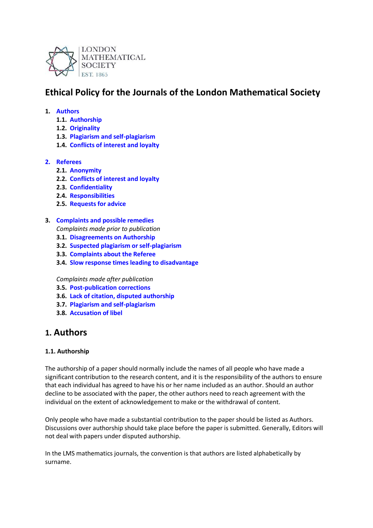

# **Ethical Policy for the Journals of the London Mathematical Society**

#### **1. Authors**

- **1.1. Authorship**
- **1.2. Originality**
- **1.3. Plagiarism and self-plagiarism**
- **1.4. Conflicts of interest and loyalty**

## **2. Referees**

- **2.1. Anonymity**
- **2.2. Conflicts of interest and loyalty**
- **2.3. Confidentiality**
- **2.4. Responsibilities**
- **2.5. Requests for advice**

#### **3. Complaints and possible remedies**

- *Complaints made prior to publication*
- **3.1. Disagreements on Authorship**
- **3.2. Suspected plagiarism or self-plagiarism**
- **3.3. Complaints about the Referee**
- **3.4. Slow response times leading to disadvantage**

*Complaints made after publication*

- **3.5. Post-publication corrections**
- **3.6. Lack of citation, disputed authorship**
- **3.7. Plagiarism and self-plagiarism**
- **3.8. Accusation of libel**

## **1. Authors**

#### **1.1. Authorship**

The authorship of a paper should normally include the names of all people who have made a significant contribution to the research content, and it is the responsibility of the authors to ensure that each individual has agreed to have his or her name included as an author. Should an author decline to be associated with the paper, the other authors need to reach agreement with the individual on the extent of acknowledgement to make or the withdrawal of content.

Only people who have made a substantial contribution to the paper should be listed as Authors. Discussions over authorship should take place before the paper is submitted. Generally, Editors will not deal with papers under disputed authorship.

In the LMS mathematics journals, the convention is that authors are listed alphabetically by surname.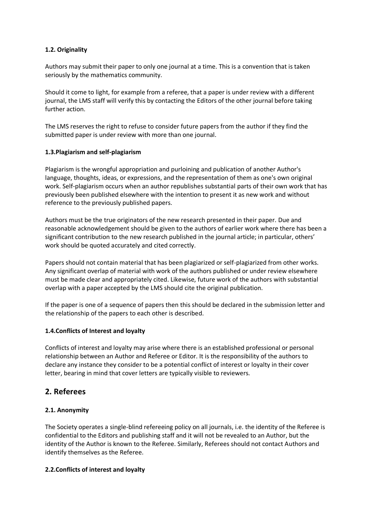## **1.2. Originality**

Authors may submit their paper to only one journal at a time. This is a convention that is taken seriously by the mathematics community.

Should it come to light, for example from a referee, that a paper is under review with a different journal, the LMS staff will verify this by contacting the Editors of the other journal before taking further action.

The LMS reserves the right to refuse to consider future papers from the author if they find the submitted paper is under review with more than one journal.

#### **1.3.Plagiarism and self-plagiarism**

Plagiarism is the wrongful appropriation and purloining and publication of another Author's language, thoughts, ideas, or expressions, and the representation of them as one's own original work. Self-plagiarism occurs when an author republishes substantial parts of their own work that has previously been published elsewhere with the intention to present it as new work and without reference to the previously published papers.

Authors must be the true originators of the new research presented in their paper. Due and reasonable acknowledgement should be given to the authors of earlier work where there has been a significant contribution to the new research published in the journal article; in particular, others' work should be quoted accurately and cited correctly.

Papers should not contain material that has been plagiarized or self-plagiarized from other works. Any significant overlap of material with work of the authors published or under review elsewhere must be made clear and appropriately cited. Likewise, future work of the authors with substantial overlap with a paper accepted by the LMS should cite the original publication.

If the paper is one of a sequence of papers then this should be declared in the submission letter and the relationship of the papers to each other is described.

#### **1.4.Conflicts of Interest and loyalty**

Conflicts of interest and loyalty may arise where there is an established professional or personal relationship between an Author and Referee or Editor. It is the responsibility of the authors to declare any instance they consider to be a potential conflict of interest or loyalty in their cover letter, bearing in mind that cover letters are typically visible to reviewers.

## **2. Referees**

## **2.1. Anonymity**

The Society operates a single-blind refereeing policy on all journals, i.e. the identity of the Referee is confidential to the Editors and publishing staff and it will not be revealed to an Author, but the identity of the Author is known to the Referee. Similarly, Referees should not contact Authors and identify themselves as the Referee.

#### **2.2.Conflicts of interest and loyalty**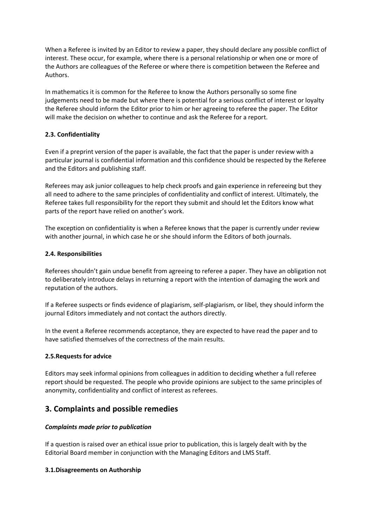When a Referee is invited by an Editor to review a paper, they should declare any possible conflict of interest. These occur, for example, where there is a personal relationship or when one or more of the Authors are colleagues of the Referee or where there is competition between the Referee and Authors.

In mathematics it is common for the Referee to know the Authors personally so some fine judgements need to be made but where there is potential for a serious conflict of interest or loyalty the Referee should inform the Editor prior to him or her agreeing to referee the paper. The Editor will make the decision on whether to continue and ask the Referee for a report.

## **2.3. Confidentiality**

Even if a preprint version of the paper is available, the fact that the paper is under review with a particular journal is confidential information and this confidence should be respected by the Referee and the Editors and publishing staff.

Referees may ask junior colleagues to help check proofs and gain experience in refereeing but they all need to adhere to the same principles of confidentiality and conflict of interest. Ultimately, the Referee takes full responsibility for the report they submit and should let the Editors know what parts of the report have relied on another's work.

The exception on confidentiality is when a Referee knows that the paper is currently under review with another journal, in which case he or she should inform the Editors of both journals.

#### **2.4. Responsibilities**

Referees shouldn't gain undue benefit from agreeing to referee a paper. They have an obligation not to deliberately introduce delays in returning a report with the intention of damaging the work and reputation of the authors.

If a Referee suspects or finds evidence of plagiarism, self-plagiarism, or libel, they should inform the journal Editors immediately and not contact the authors directly.

In the event a Referee recommends acceptance, they are expected to have read the paper and to have satisfied themselves of the correctness of the main results.

#### **2.5.Requests for advice**

Editors may seek informal opinions from colleagues in addition to deciding whether a full referee report should be requested. The people who provide opinions are subject to the same principles of anonymity, confidentiality and conflict of interest as referees.

## **3. Complaints and possible remedies**

#### *Complaints made prior to publication*

If a question is raised over an ethical issue prior to publication, this is largely dealt with by the Editorial Board member in conjunction with the Managing Editors and LMS Staff.

#### **3.1.Disagreements on Authorship**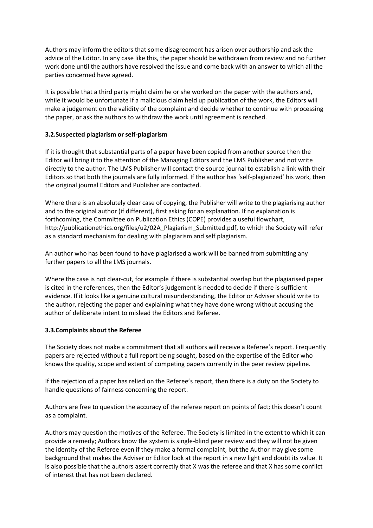Authors may inform the editors that some disagreement has arisen over authorship and ask the advice of the Editor. In any case like this, the paper should be withdrawn from review and no further work done until the authors have resolved the issue and come back with an answer to which all the parties concerned have agreed.

It is possible that a third party might claim he or she worked on the paper with the authors and, while it would be unfortunate if a malicious claim held up publication of the work, the Editors will make a judgement on the validity of the complaint and decide whether to continue with processing the paper, or ask the authors to withdraw the work until agreement is reached.

#### **3.2.Suspected plagiarism or self-plagiarism**

If it is thought that substantial parts of a paper have been copied from another source then the Editor will bring it to the attention of the Managing Editors and the LMS Publisher and not write directly to the author. The LMS Publisher will contact the source journal to establish a link with their Editors so that both the journals are fully informed. If the author has 'self-plagiarized' his work, then the original journal Editors and Publisher are contacted.

Where there is an absolutely clear case of copying, the Publisher will write to the plagiarising author and to the original author (if different), first asking for an explanation. If no explanation is forthcoming, the Committee on Publication Ethics (COPE) provides a useful flowchart, http://publicationethics.org/files/u2/02A\_Plagiarism\_Submitted.pdf, to which the Society will refer as a standard mechanism for dealing with plagiarism and self plagiarism.

An author who has been found to have plagiarised a work will be banned from submitting any further papers to all the LMS journals.

Where the case is not clear-cut, for example if there is substantial overlap but the plagiarised paper is cited in the references, then the Editor's judgement is needed to decide if there is sufficient evidence. If it looks like a genuine cultural misunderstanding, the Editor or Adviser should write to the author, rejecting the paper and explaining what they have done wrong without accusing the author of deliberate intent to mislead the Editors and Referee.

## **3.3.Complaints about the Referee**

The Society does not make a commitment that all authors will receive a Referee's report. Frequently papers are rejected without a full report being sought, based on the expertise of the Editor who knows the quality, scope and extent of competing papers currently in the peer review pipeline.

If the rejection of a paper has relied on the Referee's report, then there is a duty on the Society to handle questions of fairness concerning the report.

Authors are free to question the accuracy of the referee report on points of fact; this doesn't count as a complaint.

Authors may question the motives of the Referee. The Society is limited in the extent to which it can provide a remedy; Authors know the system is single-blind peer review and they will not be given the identity of the Referee even if they make a formal complaint, but the Author may give some background that makes the Adviser or Editor look at the report in a new light and doubt its value. It is also possible that the authors assert correctly that X was the referee and that X has some conflict of interest that has not been declared.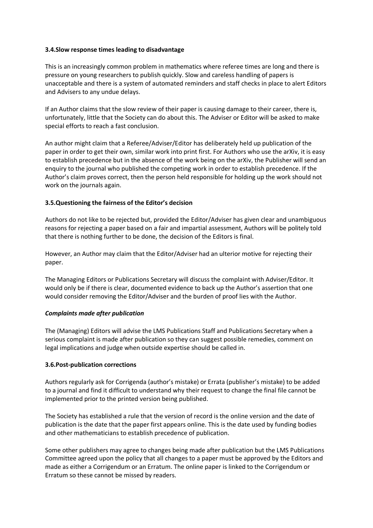#### **3.4.Slow response times leading to disadvantage**

This is an increasingly common problem in mathematics where referee times are long and there is pressure on young researchers to publish quickly. Slow and careless handling of papers is unacceptable and there is a system of automated reminders and staff checks in place to alert Editors and Advisers to any undue delays.

If an Author claims that the slow review of their paper is causing damage to their career, there is, unfortunately, little that the Society can do about this. The Adviser or Editor will be asked to make special efforts to reach a fast conclusion.

An author might claim that a Referee/Adviser/Editor has deliberately held up publication of the paper in order to get their own, similar work into print first. For Authors who use the arXiv, it is easy to establish precedence but in the absence of the work being on the arXiv, the Publisher will send an enquiry to the journal who published the competing work in order to establish precedence. If the Author's claim proves correct, then the person held responsible for holding up the work should not work on the journals again.

## **3.5.Questioning the fairness of the Editor's decision**

Authors do not like to be rejected but, provided the Editor/Adviser has given clear and unambiguous reasons for rejecting a paper based on a fair and impartial assessment, Authors will be politely told that there is nothing further to be done, the decision of the Editors is final.

However, an Author may claim that the Editor/Adviser had an ulterior motive for rejecting their paper.

The Managing Editors or Publications Secretary will discuss the complaint with Adviser/Editor. It would only be if there is clear, documented evidence to back up the Author's assertion that one would consider removing the Editor/Adviser and the burden of proof lies with the Author.

#### *Complaints made after publication*

The (Managing) Editors will advise the LMS Publications Staff and Publications Secretary when a serious complaint is made after publication so they can suggest possible remedies, comment on legal implications and judge when outside expertise should be called in.

## **3.6.Post-publication corrections**

Authors regularly ask for Corrigenda (author's mistake) or Errata (publisher's mistake) to be added to a journal and find it difficult to understand why their request to change the final file cannot be implemented prior to the printed version being published.

The Society has established a rule that the version of record is the online version and the date of publication is the date that the paper first appears online. This is the date used by funding bodies and other mathematicians to establish precedence of publication.

Some other publishers may agree to changes being made after publication but the LMS Publications Committee agreed upon the policy that all changes to a paper must be approved by the Editors and made as either a Corrigendum or an Erratum. The online paper is linked to the Corrigendum or Erratum so these cannot be missed by readers.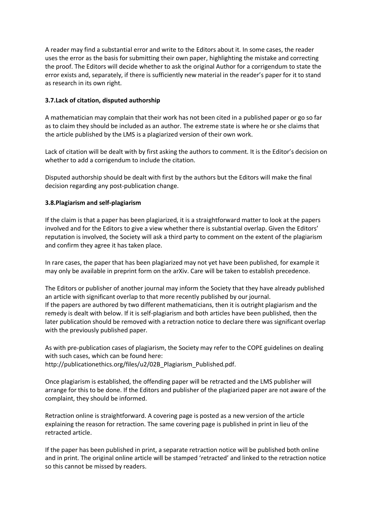A reader may find a substantial error and write to the Editors about it. In some cases, the reader uses the error as the basis for submitting their own paper, highlighting the mistake and correcting the proof. The Editors will decide whether to ask the original Author for a corrigendum to state the error exists and, separately, if there is sufficiently new material in the reader's paper for it to stand as research in its own right.

## **3.7.Lack of citation, disputed authorship**

A mathematician may complain that their work has not been cited in a published paper or go so far as to claim they should be included as an author. The extreme state is where he or she claims that the article published by the LMS is a plagiarized version of their own work.

Lack of citation will be dealt with by first asking the authors to comment. It is the Editor's decision on whether to add a corrigendum to include the citation.

Disputed authorship should be dealt with first by the authors but the Editors will make the final decision regarding any post-publication change.

#### **3.8.Plagiarism and self-plagiarism**

If the claim is that a paper has been plagiarized, it is a straightforward matter to look at the papers involved and for the Editors to give a view whether there is substantial overlap. Given the Editors' reputation is involved, the Society will ask a third party to comment on the extent of the plagiarism and confirm they agree it has taken place.

In rare cases, the paper that has been plagiarized may not yet have been published, for example it may only be available in preprint form on the arXiv. Care will be taken to establish precedence.

The Editors or publisher of another journal may inform the Society that they have already published an article with significant overlap to that more recently published by our journal. If the papers are authored by two different mathematicians, then it is outright plagiarism and the remedy is dealt with below. If it is self-plagiarism and both articles have been published, then the later publication should be removed with a retraction notice to declare there was significant overlap with the previously published paper.

As with pre-publication cases of plagiarism, the Society may refer to the COPE guidelines on dealing with such cases, which can be found here: http://publicationethics.org/files/u2/02B\_Plagiarism\_Published.pdf.

Once plagiarism is established, the offending paper will be retracted and the LMS publisher will arrange for this to be done. If the Editors and publisher of the plagiarized paper are not aware of the complaint, they should be informed.

Retraction online is straightforward. A covering page is posted as a new version of the article explaining the reason for retraction. The same covering page is published in print in lieu of the retracted article.

If the paper has been published in print, a separate retraction notice will be published both online and in print. The original online article will be stamped 'retracted' and linked to the retraction notice so this cannot be missed by readers.